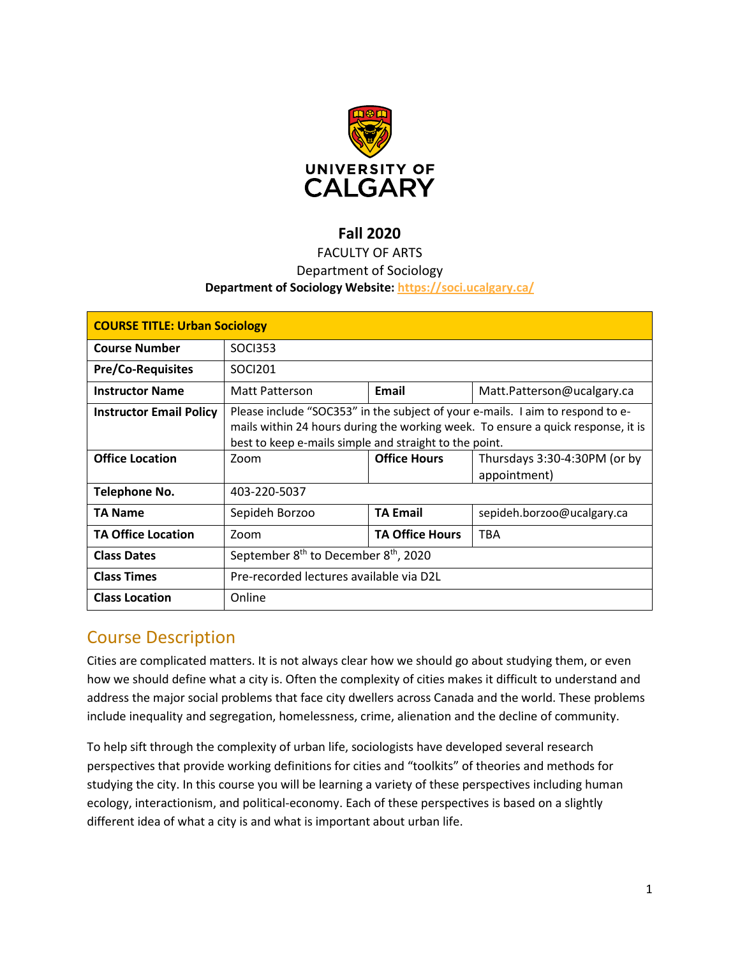

## **Fall 2020**

## FACULTY OF ARTS

#### Department of Sociology

#### **Department of Sociology Website:<https://soci.ucalgary.ca/>**

| <b>COURSE TITLE: Urban Sociology</b> |                                                                                                                                                                                                                              |                        |                                              |  |  |
|--------------------------------------|------------------------------------------------------------------------------------------------------------------------------------------------------------------------------------------------------------------------------|------------------------|----------------------------------------------|--|--|
| <b>Course Number</b>                 | <b>SOCI353</b>                                                                                                                                                                                                               |                        |                                              |  |  |
| <b>Pre/Co-Requisites</b>             | SOCI201                                                                                                                                                                                                                      |                        |                                              |  |  |
| <b>Instructor Name</b>               | Matt Patterson                                                                                                                                                                                                               | Email                  | Matt.Patterson@ucalgary.ca                   |  |  |
| <b>Instructor Email Policy</b>       | Please include "SOC353" in the subject of your e-mails. I aim to respond to e-<br>mails within 24 hours during the working week. To ensure a quick response, it is<br>best to keep e-mails simple and straight to the point. |                        |                                              |  |  |
| <b>Office Location</b>               | Zoom                                                                                                                                                                                                                         | <b>Office Hours</b>    | Thursdays 3:30-4:30PM (or by<br>appointment) |  |  |
| Telephone No.                        | 403-220-5037                                                                                                                                                                                                                 |                        |                                              |  |  |
| <b>TA Name</b>                       | Sepideh Borzoo                                                                                                                                                                                                               | <b>TA Email</b>        | sepideh.borzoo@ucalgary.ca                   |  |  |
| <b>TA Office Location</b>            | Zoom                                                                                                                                                                                                                         | <b>TA Office Hours</b> | <b>TBA</b>                                   |  |  |
| <b>Class Dates</b>                   | September 8 <sup>th</sup> to December 8 <sup>th</sup> , 2020                                                                                                                                                                 |                        |                                              |  |  |
| <b>Class Times</b>                   | Pre-recorded lectures available via D2L                                                                                                                                                                                      |                        |                                              |  |  |
| <b>Class Location</b>                | Online                                                                                                                                                                                                                       |                        |                                              |  |  |

## Course Description

Cities are complicated matters. It is not always clear how we should go about studying them, or even how we should define what a city is. Often the complexity of cities makes it difficult to understand and address the major social problems that face city dwellers across Canada and the world. These problems include inequality and segregation, homelessness, crime, alienation and the decline of community.

To help sift through the complexity of urban life, sociologists have developed several research perspectives that provide working definitions for cities and "toolkits" of theories and methods for studying the city. In this course you will be learning a variety of these perspectives including human ecology, interactionism, and political-economy. Each of these perspectives is based on a slightly different idea of what a city is and what is important about urban life.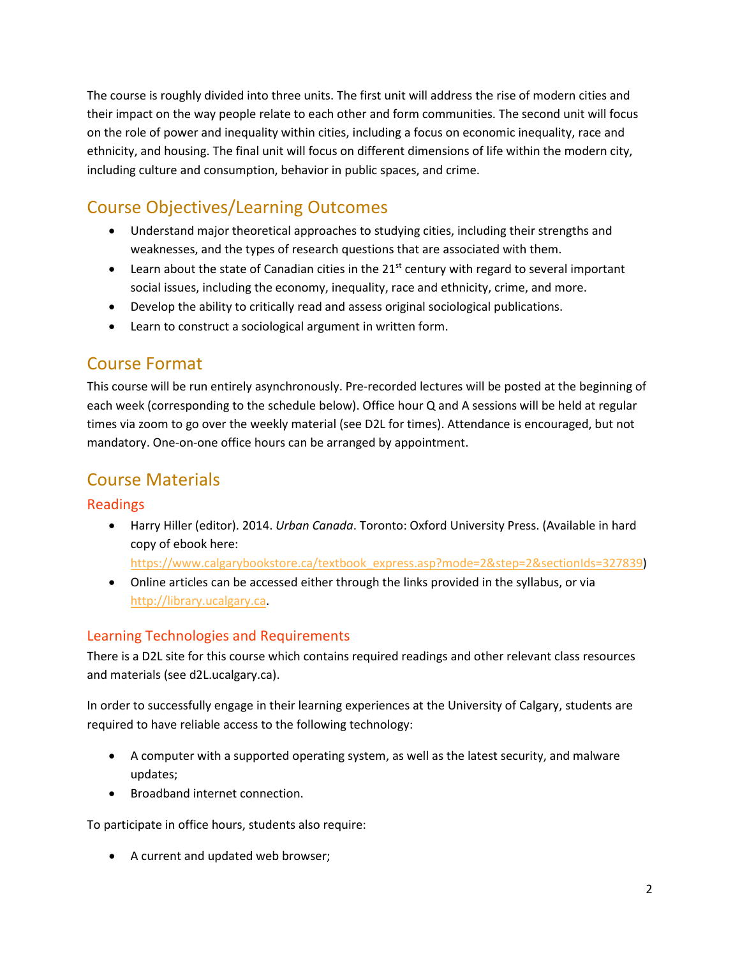The course is roughly divided into three units. The first unit will address the rise of modern cities and their impact on the way people relate to each other and form communities. The second unit will focus on the role of power and inequality within cities, including a focus on economic inequality, race and ethnicity, and housing. The final unit will focus on different dimensions of life within the modern city, including culture and consumption, behavior in public spaces, and crime.

# Course Objectives/Learning Outcomes

- Understand major theoretical approaches to studying cities, including their strengths and weaknesses, and the types of research questions that are associated with them.
- Learn about the state of Canadian cities in the  $21^{st}$  century with regard to several important social issues, including the economy, inequality, race and ethnicity, crime, and more.
- Develop the ability to critically read and assess original sociological publications.
- Learn to construct a sociological argument in written form.

## Course Format

This course will be run entirely asynchronously. Pre-recorded lectures will be posted at the beginning of each week (corresponding to the schedule below). Office hour Q and A sessions will be held at regular times via zoom to go over the weekly material (see D2L for times). Attendance is encouraged, but not mandatory. One-on-one office hours can be arranged by appointment.

## Course Materials

## Readings

• Harry Hiller (editor). 2014. *Urban Canada*. Toronto: Oxford University Press. (Available in hard copy of ebook here:

[https://www.calgarybookstore.ca/textbook\\_express.asp?mode=2&step=2&sectionIds=327839\)](https://www.calgarybookstore.ca/textbook_express.asp?mode=2&step=2§ionIds=327839)

• Online articles can be accessed either through the links provided in the syllabus, or via [http://library.ucalgary.ca.](http://library.ucalgary.ca/)

## Learning Technologies and Requirements

There is a D2L site for this course which contains required readings and other relevant class resources and materials (see d2L.ucalgary.ca).

In order to successfully engage in their learning experiences at the University of Calgary, students are required to have reliable access to the following technology:

- A computer with a supported operating system, as well as the latest security, and malware updates;
- Broadband internet connection.

To participate in office hours, students also require:

• A current and updated web browser;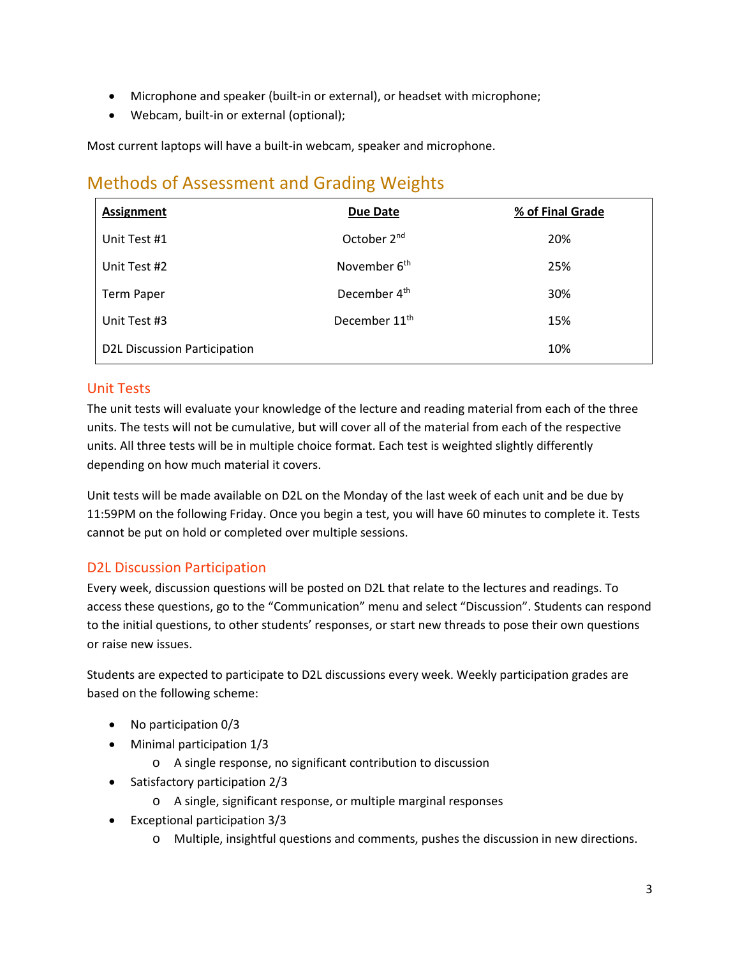- Microphone and speaker (built-in or external), or headset with microphone;
- Webcam, built-in or external (optional);

Most current laptops will have a built-in webcam, speaker and microphone.

## Methods of Assessment and Grading Weights

| <b>Assignment</b>                   | <b>Due Date</b>           | % of Final Grade |
|-------------------------------------|---------------------------|------------------|
| Unit Test #1                        | October 2 <sup>nd</sup>   | 20%              |
| Unit Test #2                        | November 6 <sup>th</sup>  | 25%              |
| <b>Term Paper</b>                   | December 4 <sup>th</sup>  | 30%              |
| Unit Test #3                        | December 11 <sup>th</sup> | 15%              |
| <b>D2L Discussion Participation</b> | 10%                       |                  |

## Unit Tests

The unit tests will evaluate your knowledge of the lecture and reading material from each of the three units. The tests will not be cumulative, but will cover all of the material from each of the respective units. All three tests will be in multiple choice format. Each test is weighted slightly differently depending on how much material it covers.

Unit tests will be made available on D2L on the Monday of the last week of each unit and be due by 11:59PM on the following Friday. Once you begin a test, you will have 60 minutes to complete it. Tests cannot be put on hold or completed over multiple sessions.

## D2L Discussion Participation

Every week, discussion questions will be posted on D2L that relate to the lectures and readings. To access these questions, go to the "Communication" menu and select "Discussion". Students can respond to the initial questions, to other students' responses, or start new threads to pose their own questions or raise new issues.

Students are expected to participate to D2L discussions every week. Weekly participation grades are based on the following scheme:

- No participation 0/3
- Minimal participation 1/3
	- o A single response, no significant contribution to discussion
- Satisfactory participation 2/3
	- o A single, significant response, or multiple marginal responses
- Exceptional participation 3/3
	- o Multiple, insightful questions and comments, pushes the discussion in new directions.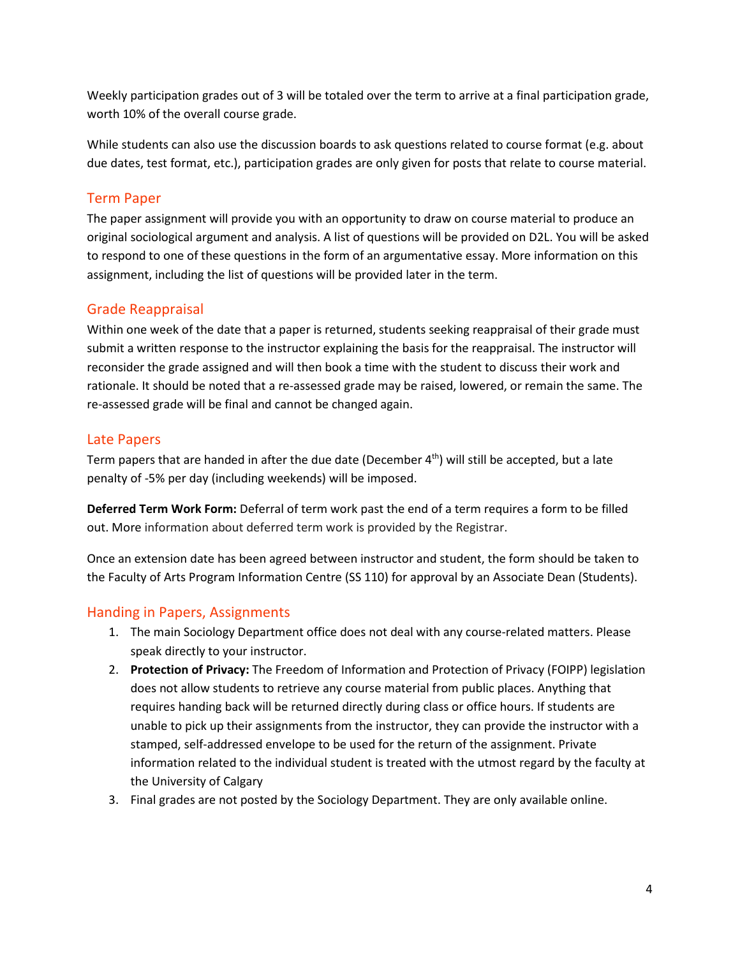Weekly participation grades out of 3 will be totaled over the term to arrive at a final participation grade, worth 10% of the overall course grade.

While students can also use the discussion boards to ask questions related to course format (e.g. about due dates, test format, etc.), participation grades are only given for posts that relate to course material.

## Term Paper

The paper assignment will provide you with an opportunity to draw on course material to produce an original sociological argument and analysis. A list of questions will be provided on D2L. You will be asked to respond to one of these questions in the form of an argumentative essay. More information on this assignment, including the list of questions will be provided later in the term.

## Grade Reappraisal

Within one week of the date that a paper is returned, students seeking reappraisal of their grade must submit a written response to the instructor explaining the basis for the reappraisal. The instructor will reconsider the grade assigned and will then book a time with the student to discuss their work and rationale. It should be noted that a re-assessed grade may be raised, lowered, or remain the same. The re-assessed grade will be final and cannot be changed again.

## Late Papers

Term papers that are handed in after the due date (December  $4<sup>th</sup>$ ) will still be accepted, but a late penalty of -5% per day (including weekends) will be imposed.

**Deferred Term Work Form:** Deferral of term work past the end of a term requires a form to be filled out. More information about deferred term work is provided by the Registrar.

Once an extension date has been agreed between instructor and student, the form should be taken to the Faculty of Arts Program Information Centre (SS 110) for approval by an Associate Dean (Students).

## Handing in Papers, Assignments

- 1. The main Sociology Department office does not deal with any course-related matters. Please speak directly to your instructor.
- 2. **Protection of Privacy:** The Freedom of Information and Protection of Privacy (FOIPP) legislation does not allow students to retrieve any course material from public places. Anything that requires handing back will be returned directly during class or office hours. If students are unable to pick up their assignments from the instructor, they can provide the instructor with a stamped, self-addressed envelope to be used for the return of the assignment. Private information related to the individual student is treated with the utmost regard by the faculty at the University of Calgary
- 3. Final grades are not posted by the Sociology Department. They are only available online.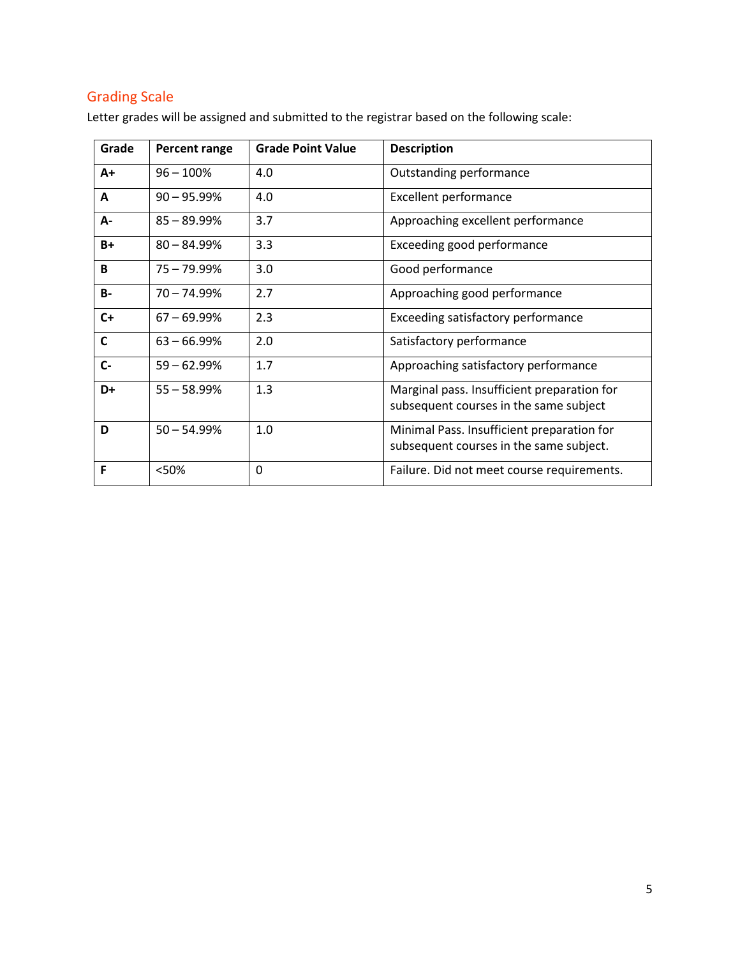## Grading Scale

Letter grades will be assigned and submitted to the registrar based on the following scale:

| Grade     | Percent range | <b>Grade Point Value</b> | <b>Description</b>                                                                    |
|-----------|---------------|--------------------------|---------------------------------------------------------------------------------------|
| $A+$      | $96 - 100%$   | 4.0                      | Outstanding performance                                                               |
| A         | $90 - 95.99%$ | 4.0                      | <b>Excellent performance</b>                                                          |
| А-        | $85 - 89.99%$ | 3.7                      | Approaching excellent performance                                                     |
| $B+$      | $80 - 84.99%$ | 3.3                      | Exceeding good performance                                                            |
| B         | $75 - 79.99%$ | 3.0                      | Good performance                                                                      |
| <b>B-</b> | $70 - 74.99%$ | 2.7                      | Approaching good performance                                                          |
| $C+$      | $67 - 69.99%$ | 2.3                      | Exceeding satisfactory performance                                                    |
| C         | $63 - 66.99%$ | 2.0                      | Satisfactory performance                                                              |
| $C -$     | $59 - 62.99%$ | 1.7                      | Approaching satisfactory performance                                                  |
| D+        | $55 - 58.99%$ | 1.3                      | Marginal pass. Insufficient preparation for<br>subsequent courses in the same subject |
| D         | $50 - 54.99%$ | 1.0                      | Minimal Pass. Insufficient preparation for<br>subsequent courses in the same subject. |
| F         | <50%          | 0                        | Failure. Did not meet course requirements.                                            |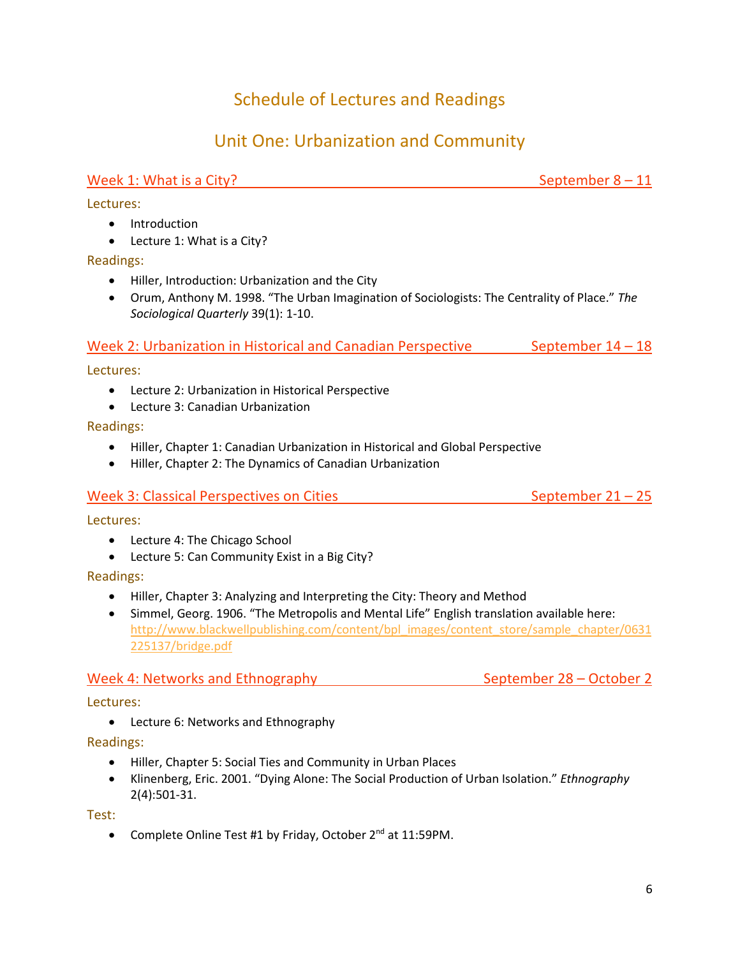# Schedule of Lectures and Readings

# Unit One: Urbanization and Community

## Week 1: What is a City?  $\blacksquare$

Lectures:

- Introduction
- Lecture 1: What is a City?

Readings:

- Hiller, Introduction: Urbanization and the City
- Orum, Anthony M. 1998. "The Urban Imagination of Sociologists: The Centrality of Place." *The Sociological Quarterly* 39(1): 1-10.

#### Week 2: Urbanization in Historical and Canadian Perspective September  $14 - 18$

Lectures:

- Lecture 2: Urbanization in Historical Perspective
- Lecture 3: Canadian Urbanization

Readings:

- Hiller, Chapter 1: Canadian Urbanization in Historical and Global Perspective
- Hiller, Chapter 2: The Dynamics of Canadian Urbanization

#### Week 3: Classical Perspectives on Cities  $S^2$  is september 21 – 25

Lectures:

- Lecture 4: The Chicago School
- Lecture 5: Can Community Exist in a Big City?

Readings:

- Hiller, Chapter 3: Analyzing and Interpreting the City: Theory and Method
- Simmel, Georg. 1906. "The Metropolis and Mental Life" English translation available here: [http://www.blackwellpublishing.com/content/bpl\\_images/content\\_store/sample\\_chapter/0631](http://www.blackwellpublishing.com/content/bpl_images/content_store/sample_chapter/0631225137/bridge.pdf) [225137/bridge.pdf](http://www.blackwellpublishing.com/content/bpl_images/content_store/sample_chapter/0631225137/bridge.pdf)

#### Week 4: Networks and Ethnography Networks and Ethnography September 28 – October 2

Lectures:

• Lecture 6: Networks and Ethnography

Readings:

- Hiller, Chapter 5: Social Ties and Community in Urban Places
- Klinenberg, Eric. 2001. "Dying Alone: The Social Production of Urban Isolation." *Ethnography* 2(4):501-31.

Test:

• Complete Online Test #1 by Friday, October 2<sup>nd</sup> at 11:59PM.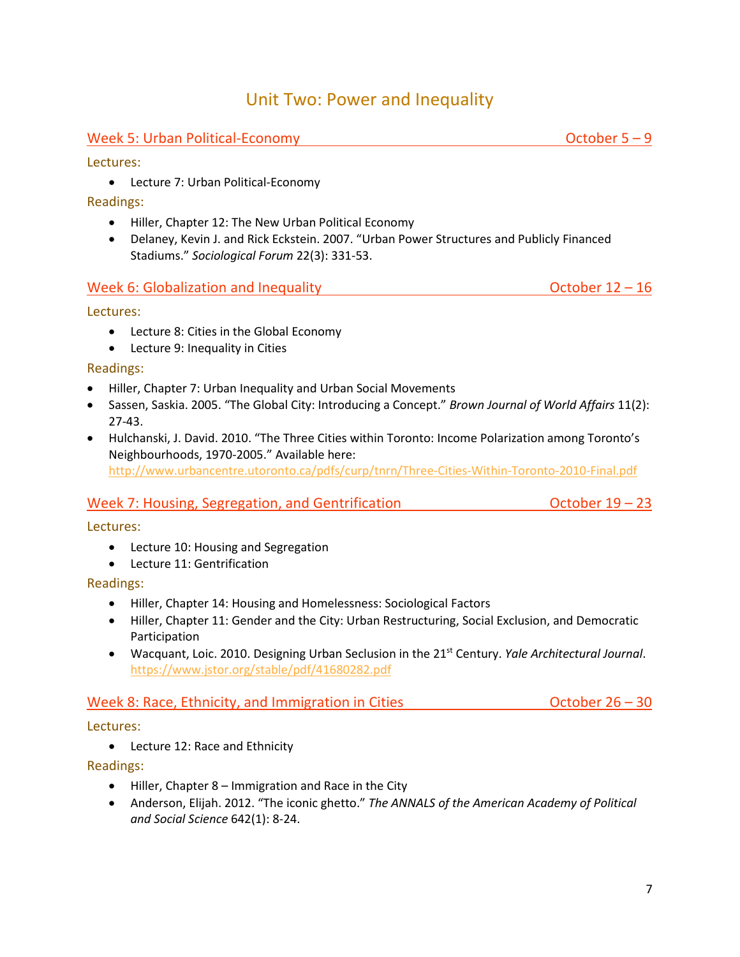## Unit Two: Power and Inequality

## Week 5: Urban Political-Economy  $\blacksquare$

Lectures:

• Lecture 7: Urban Political-Economy

#### Readings:

- Hiller, Chapter 12: The New Urban Political Economy
- Delaney, Kevin J. and Rick Eckstein. 2007. "Urban Power Structures and Publicly Financed Stadiums." *Sociological Forum* 22(3): 331-53.

#### Week 6: Globalization and Inequality  $\blacksquare$  October 12 – 16

Lectures:

- Lecture 8: Cities in the Global Economy
- Lecture 9: Inequality in Cities

#### Readings:

- Hiller, Chapter 7: Urban Inequality and Urban Social Movements
- Sassen, Saskia. 2005. "The Global City: Introducing a Concept." *Brown Journal of World Affairs* 11(2): 27-43.
- Hulchanski, J. David. 2010. "The Three Cities within Toronto: Income Polarization among Toronto's Neighbourhoods, 1970-2005." Available here: <http://www.urbancentre.utoronto.ca/pdfs/curp/tnrn/Three-Cities-Within-Toronto-2010-Final.pdf>

## Week 7: Housing, Segregation, and Gentrification  $O(1)$  and  $O(1)$  and  $O(1)$  and  $O(1)$  and  $O(1)$  and  $O(1)$  and  $O(1)$  and  $O(1)$  and  $O(1)$  and  $O(1)$  and  $O(1)$  and  $O(1)$  and  $O(1)$  and  $O(1)$  and  $O(1)$  and  $O(1)$

Lectures:

- Lecture 10: Housing and Segregation
- Lecture 11: Gentrification

## Readings:

- Hiller, Chapter 14: Housing and Homelessness: Sociological Factors
- Hiller, Chapter 11: Gender and the City: Urban Restructuring, Social Exclusion, and Democratic Participation
- Wacquant, Loic. 2010. Designing Urban Seclusion in the 21st Century. *Yale Architectural Journal*. <https://www.jstor.org/stable/pdf/41680282.pdf>

## Week 8: Race, Ethnicity, and Immigration in Cities  $October 26 - 30$

Lectures:

• Lecture 12: Race and Ethnicity

Readings:

- Hiller, Chapter 8 Immigration and Race in the City
- Anderson, Elijah. 2012. "The iconic ghetto." *The ANNALS of the American Academy of Political and Social Science* 642(1): 8-24.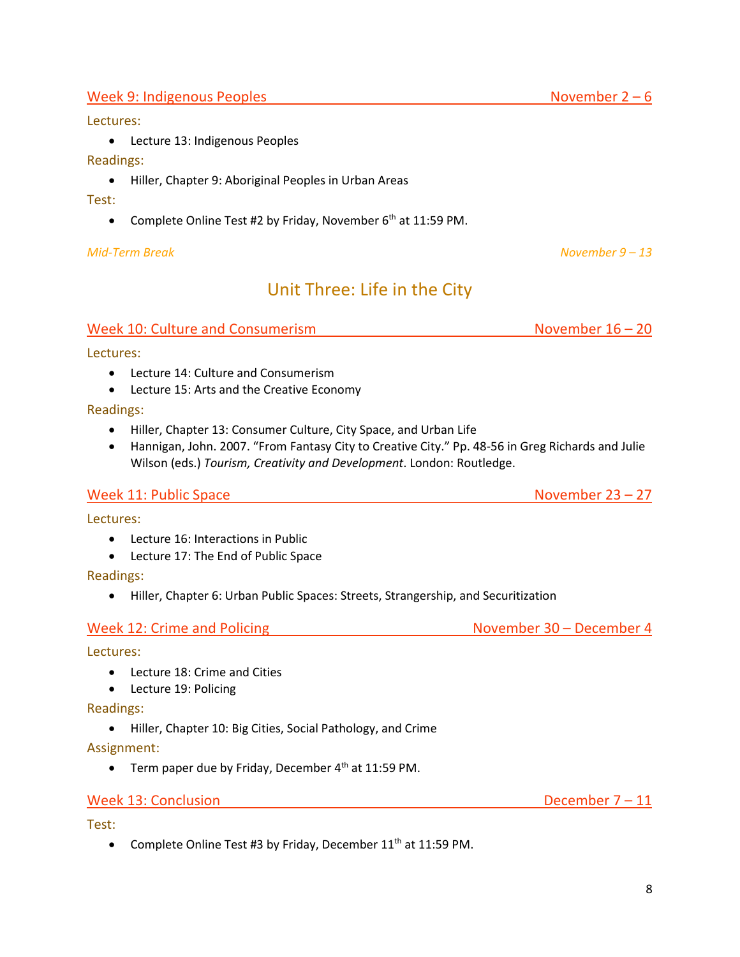#### Week 9: Indigenous Peoples  $\blacksquare$

#### Lectures:

• Lecture 13: Indigenous Peoples

#### Readings:

• Hiller, Chapter 9: Aboriginal Peoples in Urban Areas

#### Test:

• Complete Online Test #2 by Friday, November  $6<sup>th</sup>$  at 11:59 PM.

#### *Mid-Term Break November 9 – 13*

# Unit Three: Life in the City

#### Week 10: Culture and Consumerism November 16 – 20

Lectures:

- Lecture 14: Culture and Consumerism
- Lecture 15: Arts and the Creative Economy

Readings:

- Hiller, Chapter 13: Consumer Culture, City Space, and Urban Life
- Hannigan, John. 2007. "From Fantasy City to Creative City." Pp. 48-56 in Greg Richards and Julie Wilson (eds.) *Tourism, Creativity and Development*. London: Routledge.

#### Week 11: Public Space November 23 – 27

Lectures:

- Lecture 16: Interactions in Public
- Lecture 17: The End of Public Space

Readings:

• Hiller, Chapter 6: Urban Public Spaces: Streets, Strangership, and Securitization

Week 12: Crime and Policing November 30 – December 4

#### Lectures:

- Lecture 18: Crime and Cities
- Lecture 19: Policing

#### Readings:

• Hiller, Chapter 10: Big Cities, Social Pathology, and Crime

Assignment:

• Term paper due by Friday, December  $4<sup>th</sup>$  at 11:59 PM.

#### Week 13: Conclusion **December 7 – 11**

Test:

• Complete Online Test #3 by Friday, December 11<sup>th</sup> at 11:59 PM.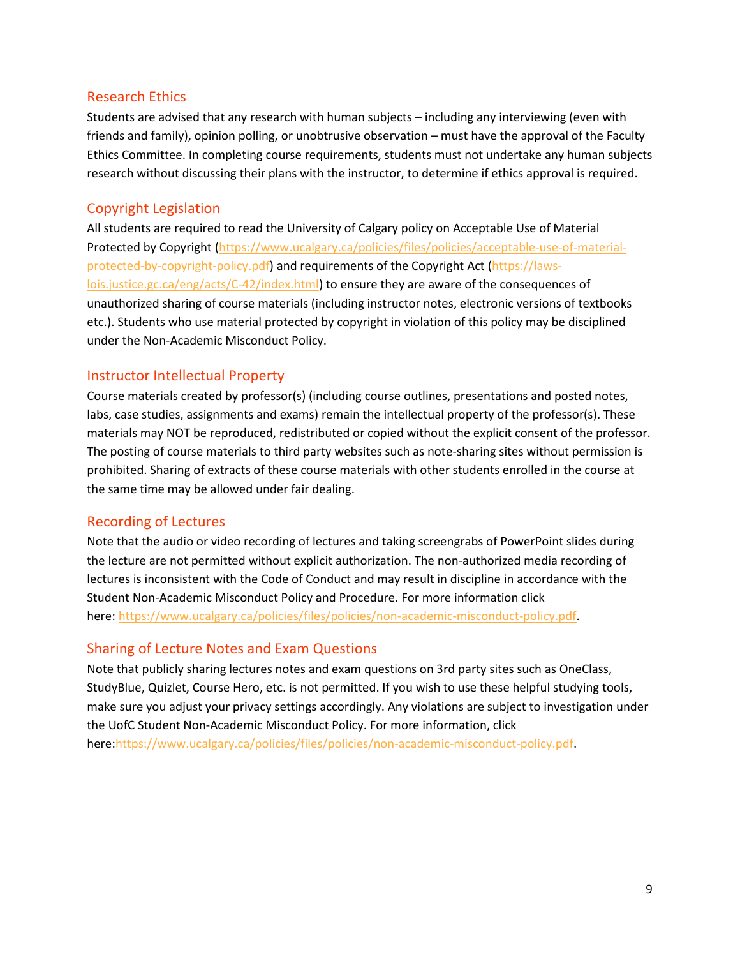#### Research Ethics

Students are advised that any research with human subjects – including any interviewing (even with friends and family), opinion polling, or unobtrusive observation – must have the approval of the Faculty Ethics Committee. In completing course requirements, students must not undertake any human subjects research without discussing their plans with the instructor, to determine if ethics approval is required.

## Copyright Legislation

All students are required to read the University of Calgary policy on Acceptable Use of Material Protected by Copyright [\(https://www.ucalgary.ca/policies/files/policies/acceptable-use-of-material](https://www.ucalgary.ca/policies/files/policies/acceptable-use-of-material-protected-by-copyright-policy.pdf)[protected-by-copyright-policy.pdf\)](https://www.ucalgary.ca/policies/files/policies/acceptable-use-of-material-protected-by-copyright-policy.pdf) and requirements of the Copyright Act [\(https://laws](https://laws-lois.justice.gc.ca/eng/acts/C-42/index.html)[lois.justice.gc.ca/eng/acts/C-42/index.html\)](https://laws-lois.justice.gc.ca/eng/acts/C-42/index.html) to ensure they are aware of the consequences of unauthorized sharing of course materials (including instructor notes, electronic versions of textbooks etc.). Students who use material protected by copyright in violation of this policy may be disciplined under the Non-Academic Misconduct Policy.

## Instructor Intellectual Property

Course materials created by professor(s) (including course outlines, presentations and posted notes, labs, case studies, assignments and exams) remain the intellectual property of the professor(s). These materials may NOT be reproduced, redistributed or copied without the explicit consent of the professor. The posting of course materials to third party websites such as note-sharing sites without permission is prohibited. Sharing of extracts of these course materials with other students enrolled in the course at the same time may be allowed under fair dealing.

## Recording of Lectures

Note that the audio or video recording of lectures and taking screengrabs of PowerPoint slides during the lecture are not permitted without explicit authorization. The non-authorized media recording of lectures is inconsistent with the Code of Conduct and may result in discipline in accordance with the Student Non-Academic Misconduct Policy and Procedure. For more information click here: [https://www.ucalgary.ca/policies/files/policies/non-academic-misconduct-policy.pdf.](https://www.ucalgary.ca/policies/files/policies/non-academic-misconduct-policy.pdf)

## Sharing of Lecture Notes and Exam Questions

Note that publicly sharing lectures notes and exam questions on 3rd party sites such as OneClass, StudyBlue, Quizlet, Course Hero, etc. is not permitted. If you wish to use these helpful studying tools, make sure you adjust your privacy settings accordingly. Any violations are subject to investigation under the UofC Student Non-Academic Misconduct Policy. For more information, click here:https://www.ucalgary.ca/policies/files/policies/non-academic-misconduct-policy.pdf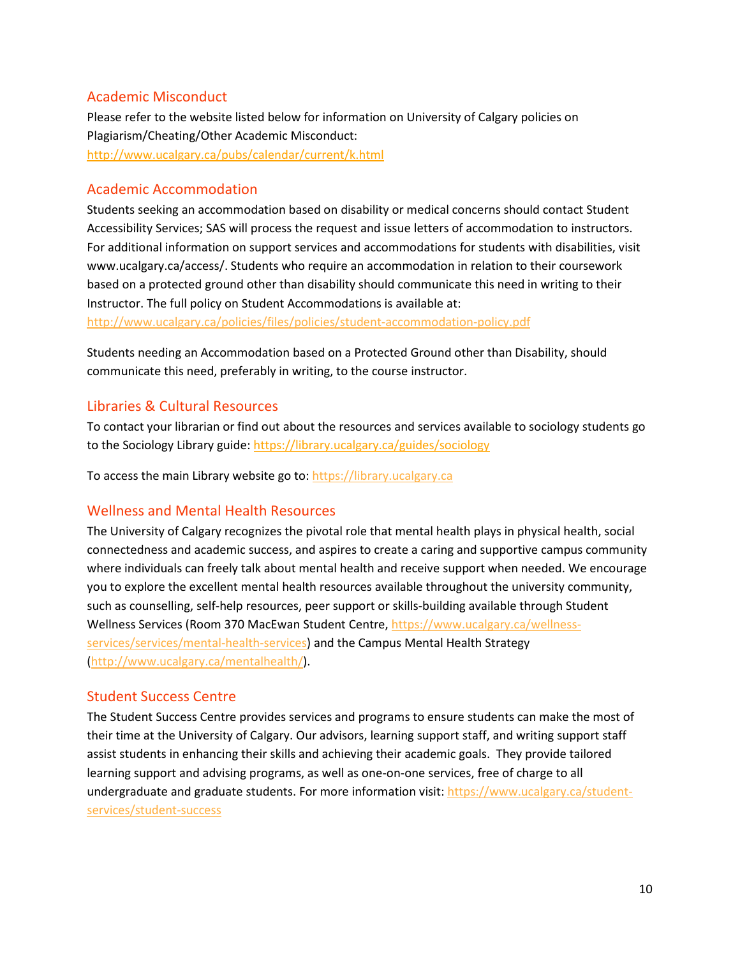#### Academic Misconduct

Please refer to the website listed below for information on University of Calgary policies on Plagiarism/Cheating/Other Academic Misconduct: <http://www.ucalgary.ca/pubs/calendar/current/k.html>

#### Academic Accommodation

Students seeking an accommodation based on disability or medical concerns should contact Student Accessibility Services; SAS will process the request and issue letters of accommodation to instructors. For additional information on support services and accommodations for students with disabilities, visit www.ucalgary.ca/access/. Students who require an accommodation in relation to their coursework based on a protected ground other than disability should communicate this need in writing to their Instructor. The full policy on Student Accommodations is available at:

<http://www.ucalgary.ca/policies/files/policies/student-accommodation-policy.pdf>

Students needing an Accommodation based on a Protected Ground other than Disability, should communicate this need, preferably in writing, to the course instructor.

#### Libraries & Cultural Resources

To contact your librarian or find out about the resources and services available to sociology students go to the Sociology Library guide[: https://library.ucalgary.ca/guides/sociology](https://library.ucalgary.ca/guides/sociology)

To access the main Library website go to: [https://library.ucalgary.ca](https://library.ucalgary.ca/)

#### Wellness and Mental Health Resources

The University of Calgary recognizes the pivotal role that mental health plays in physical health, social connectedness and academic success, and aspires to create a caring and supportive campus community where individuals can freely talk about mental health and receive support when needed. We encourage you to explore the excellent mental health resources available throughout the university community, such as counselling, self-help resources, peer support or skills-building available through Student Wellness Services (Room 370 MacEwan Student Centre, [https://www.ucalgary.ca/wellness](https://www.ucalgary.ca/wellness-services/services/mental-health-services)[services/services/mental-health-services\)](https://www.ucalgary.ca/wellness-services/services/mental-health-services) and the Campus Mental Health Strategy [\(http://www.ucalgary.ca/mentalhealth/\)](http://www.ucalgary.ca/mentalhealth/).

#### Student Success Centre

The Student Success Centre provides services and programs to ensure students can make the most of their time at the University of Calgary. Our advisors, learning support staff, and writing support staff assist students in enhancing their skills and achieving their academic goals. They provide tailored learning support and advising programs, as well as one-on-one services, free of charge to all undergraduate and graduate students. For more information visit: [https://www.ucalgary.ca/student](https://www.ucalgary.ca/student-services/student-success)[services/student-success](https://www.ucalgary.ca/student-services/student-success)